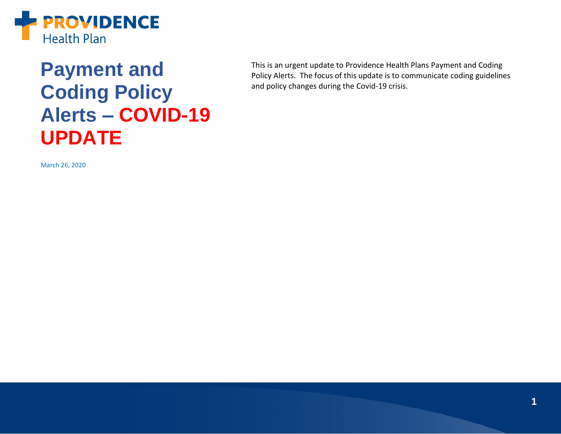

## **Payment and Coding Policy Alerts – COVID-19 UPDATE**

This is an urgent update to Providence Health Plans Payment and Coding Policy Alerts. The focus of this update is to communicate coding guidelines and policy changes during the Covid-19 crisis.

March 26, 2020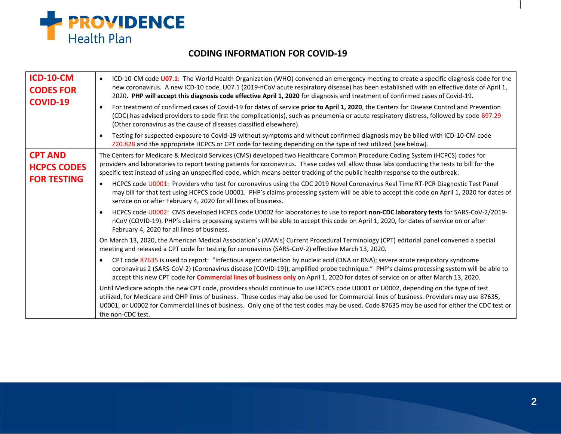

## **CODING INFORMATION FOR COVID-19**

| <b>ICD-10-CM</b><br><b>CODES FOR</b><br><b>COVID-19</b>    | ICD-10-CM code U07.1: The World Health Organization (WHO) convened an emergency meeting to create a specific diagnosis code for the<br>$\bullet$<br>new coronavirus. A new ICD-10 code, U07.1 (2019-nCoV acute respiratory disease) has been established with an effective date of April 1,<br>2020. PHP will accept this diagnosis code effective April 1, 2020 for diagnosis and treatment of confirmed cases of Covid-19.<br>For treatment of confirmed cases of Covid-19 for dates of service prior to April 1, 2020, the Centers for Disease Control and Prevention<br>$\bullet$<br>(CDC) has advised providers to code first the complication(s), such as pneumonia or acute respiratory distress, followed by code B97.29<br>(Other coronavirus as the cause of diseases classified elsewhere). |
|------------------------------------------------------------|--------------------------------------------------------------------------------------------------------------------------------------------------------------------------------------------------------------------------------------------------------------------------------------------------------------------------------------------------------------------------------------------------------------------------------------------------------------------------------------------------------------------------------------------------------------------------------------------------------------------------------------------------------------------------------------------------------------------------------------------------------------------------------------------------------|
|                                                            | Testing for suspected exposure to Covid-19 without symptoms and without confirmed diagnosis may be billed with ICD-10-CM code<br>Z20.828 and the appropriate HCPCS or CPT code for testing depending on the type of test utilized (see below).                                                                                                                                                                                                                                                                                                                                                                                                                                                                                                                                                         |
| <b>CPT AND</b><br><b>HCPCS CODES</b><br><b>FOR TESTING</b> | The Centers for Medicare & Medicaid Services (CMS) developed two Healthcare Common Procedure Coding System (HCPCS) codes for<br>providers and laboratories to report testing patients for coronavirus. These codes will allow those labs conducting the tests to bill for the<br>specific test instead of using an unspecified code, which means better tracking of the public health response to the outbreak.                                                                                                                                                                                                                                                                                                                                                                                        |
|                                                            | HCPCS code U0001: Providers who test for coronavirus using the CDC 2019 Novel Coronavirus Real Time RT-PCR Diagnostic Test Panel<br>may bill for that test using HCPCS code U0001. PHP's claims processing system will be able to accept this code on April 1, 2020 for dates of<br>service on or after February 4, 2020 for all lines of business.                                                                                                                                                                                                                                                                                                                                                                                                                                                    |
|                                                            | HCPCS code U0002: CMS developed HCPCS code U0002 for laboratories to use to report non-CDC laboratory tests for SARS-CoV-2/2019-<br>$\bullet$<br>nCoV (COVID-19). PHP's claims processing systems will be able to accept this code on April 1, 2020, for dates of service on or after<br>February 4, 2020 for all lines of business.                                                                                                                                                                                                                                                                                                                                                                                                                                                                   |
|                                                            | On March 13, 2020, the American Medical Association's (AMA's) Current Procedural Terminology (CPT) editorial panel convened a special<br>meeting and released a CPT code for testing for coronavirus (SARS-CoV-2) effective March 13, 2020.                                                                                                                                                                                                                                                                                                                                                                                                                                                                                                                                                            |
|                                                            | CPT code 87635 is used to report: "Infectious agent detection by nucleic acid (DNA or RNA); severe acute respiratory syndrome<br>$\bullet$<br>coronavirus 2 (SARS-CoV-2) (Coronavirus disease [COVID-19]), amplified probe technique." PHP's claims processing system will be able to<br>accept this new CPT code for Commercial lines of business only on April 1, 2020 for dates of service on or after March 13, 2020.                                                                                                                                                                                                                                                                                                                                                                              |
|                                                            | Until Medicare adopts the new CPT code, providers should continue to use HCPCS code U0001 or U0002, depending on the type of test<br>utilized, for Medicare and OHP lines of business. These codes may also be used for Commercial lines of business. Providers may use 87635,<br>U0001, or U0002 for Commercial lines of business. Only one of the test codes may be used. Code 87635 may be used for either the CDC test or<br>the non-CDC test.                                                                                                                                                                                                                                                                                                                                                     |